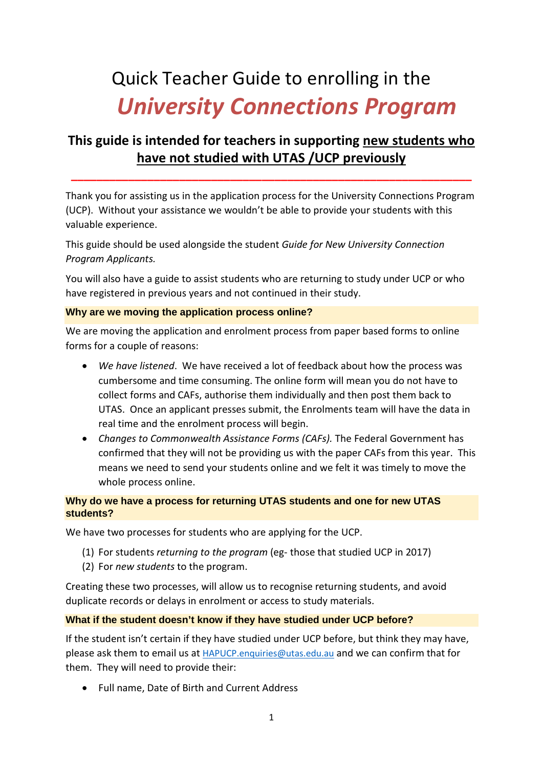# Quick Teacher Guide to enrolling in the *University Connections Program*

# **This guide is intended for teachers in supporting new students who have not studied with UTAS /UCP previously**

**\_\_\_\_\_\_\_\_\_\_\_\_\_\_\_\_\_\_\_\_\_\_\_\_\_\_\_\_\_\_\_\_\_\_\_\_\_\_\_\_\_\_\_\_\_\_\_\_\_\_\_\_\_\_\_\_\_\_\_\_\_\_\_**

Thank you for assisting us in the application process for the University Connections Program (UCP). Without your assistance we wouldn't be able to provide your students with this valuable experience.

This guide should be used alongside the student *Guide for New University Connection Program Applicants.*

You will also have a guide to assist students who are returning to study under UCP or who have registered in previous years and not continued in their study.

# **Why are we moving the application process online?**

We are moving the application and enrolment process from paper based forms to online forms for a couple of reasons:

- *We have listened*. We have received a lot of feedback about how the process was cumbersome and time consuming. The online form will mean you do not have to collect forms and CAFs, authorise them individually and then post them back to UTAS. Once an applicant presses submit, the Enrolments team will have the data in real time and the enrolment process will begin.
- *Changes to Commonwealth Assistance Forms (CAFs).* The Federal Government has confirmed that they will not be providing us with the paper CAFs from this year. This means we need to send your students online and we felt it was timely to move the whole process online.

# **Why do we have a process for returning UTAS students and one for new UTAS students?**

We have two processes for students who are applying for the UCP.

- (1) For students *returning to the program* (eg- those that studied UCP in 2017)
- (2) For *new students* to the program.

Creating these two processes, will allow us to recognise returning students, and avoid duplicate records or delays in enrolment or access to study materials.

# **What if the student doesn't know if they have studied under UCP before?**

If the student isn't certain if they have studied under UCP before, but think they may have, please ask them to email us at [HAPUCP.enquiries@utas.edu.au](mailto:HAPUCP.enquiries@utas.edu.au) and we can confirm that for them. They will need to provide their:

• Full name, Date of Birth and Current Address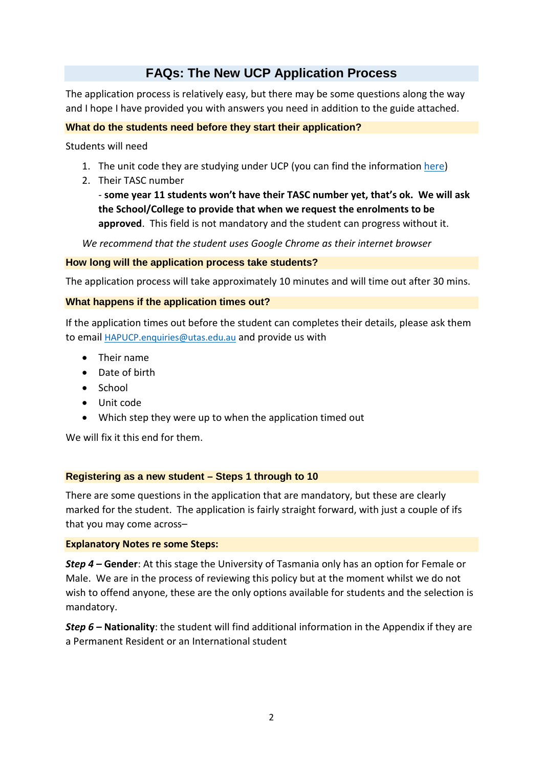# **FAQs: The New UCP Application Process**

The application process is relatively easy, but there may be some questions along the way and I hope I have provided you with answers you need in addition to the guide attached.

# **What do the students need before they start their application?**

Students will need

- 1. The unit code they are studying under UCP (you can find the information [here\)](http://www.utas.edu.au/schools-engagement/ucp)
- 2. Their TASC number

- **some year 11 students won't have their TASC number yet, that's ok. We will ask the School/College to provide that when we request the enrolments to be approved**. This field is not mandatory and the student can progress without it.

*We recommend that the student uses Google Chrome as their internet browser*

#### **How long will the application process take students?**

The application process will take approximately 10 minutes and will time out after 30 mins.

## **What happens if the application times out?**

If the application times out before the student can completes their details, please ask them to email [HAPUCP.enquiries@utas.edu.au](mailto:HAPUCP.enquiries@utas.edu.au) and provide us with

- Their name
- Date of birth
- School
- Unit code
- Which step they were up to when the application timed out

We will fix it this end for them.

## **Registering as a new student – Steps 1 through to 10**

There are some questions in the application that are mandatory, but these are clearly marked for the student. The application is fairly straight forward, with just a couple of ifs that you may come across–

#### **Explanatory Notes re some Steps:**

*Step 4 –* **Gender**: At this stage the University of Tasmania only has an option for Female or Male. We are in the process of reviewing this policy but at the moment whilst we do not wish to offend anyone, these are the only options available for students and the selection is mandatory.

*Step 6 –* **Nationality**: the student will find additional information in the Appendix if they are a Permanent Resident or an International student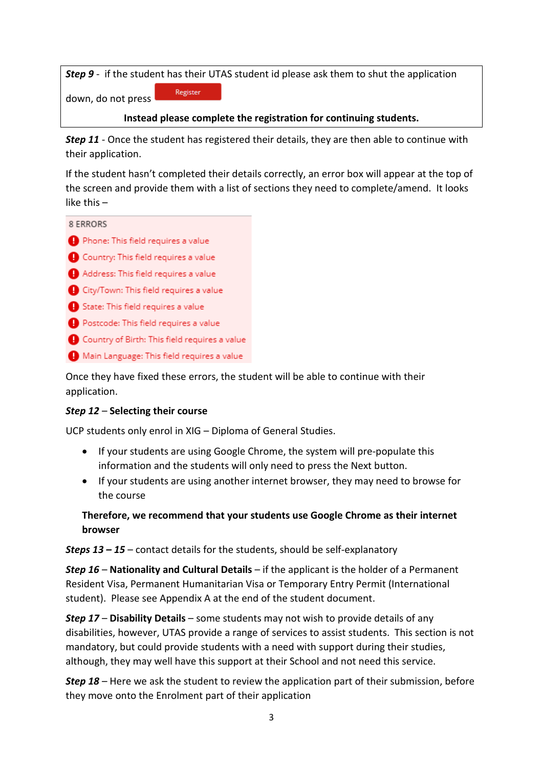*Step 9* - if the student has their UTAS student id please ask them to shut the application Register

down, do not press

# **Instead please complete the registration for continuing students.**

*Step 11 -* Once the student has registered their details, they are then able to continue with their application.

If the student hasn't completed their details correctly, an error box will appear at the top of the screen and provide them with a list of sections they need to complete/amend. It looks like this –



Country of Birth: This field requires a value

Main Language: This field requires a value

Once they have fixed these errors, the student will be able to continue with their application.

# *Step 12* – **Selecting their course**

UCP students only enrol in XIG – Diploma of General Studies.

- If your students are using Google Chrome, the system will pre-populate this information and the students will only need to press the Next button.
- If your students are using another internet browser, they may need to browse for the course

**Therefore, we recommend that your students use Google Chrome as their internet browser**

*Steps 13 – 15* – contact details for the students, should be self-explanatory

*Step 16* – **Nationality and Cultural Details** – if the applicant is the holder of a Permanent Resident Visa, Permanent Humanitarian Visa or Temporary Entry Permit (International student). Please see Appendix A at the end of the student document.

*Step 17* – **Disability Details** – some students may not wish to provide details of any disabilities, however, UTAS provide a range of services to assist students. This section is not mandatory, but could provide students with a need with support during their studies, although, they may well have this support at their School and not need this service.

*Step 18* – Here we ask the student to review the application part of their submission, before they move onto the Enrolment part of their application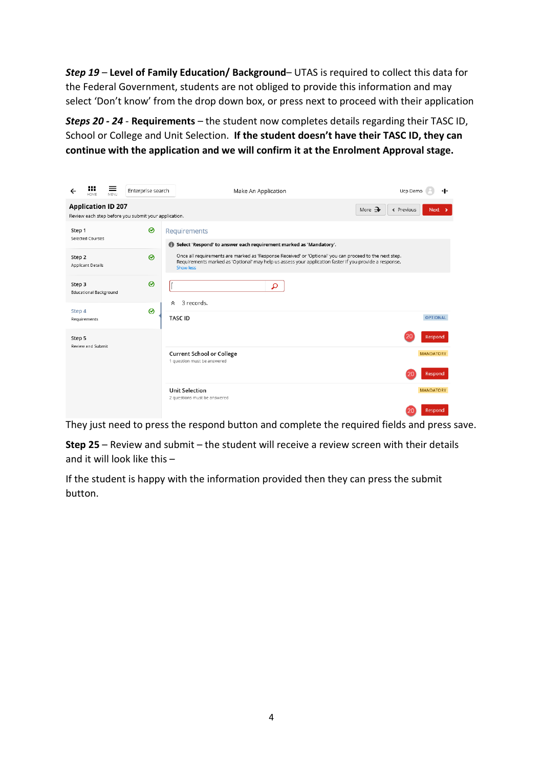*Step 19* – **Level of Family Education/ Background**– UTAS is required to collect this data for the Federal Government, students are not obliged to provide this information and may select 'Don't know' from the drop down box, or press next to proceed with their application

*Steps 20 - 24* - **Requirements** – the student now completes details regarding their TASC ID, School or College and Unit Selection. **If the student doesn't have their TASC ID, they can continue with the application and we will confirm it at the Enrolment Approval stage.**

|                                                                                                                       | <br>HOME                      | ≡<br>MENU | Enterprise search | Make An Application<br>Ucp Demo                                                                                                                                                                                                 |                  |  |  |
|-----------------------------------------------------------------------------------------------------------------------|-------------------------------|-----------|-------------------|---------------------------------------------------------------------------------------------------------------------------------------------------------------------------------------------------------------------------------|------------------|--|--|
| <b>Application ID 207</b><br>More $\rightarrow$<br>← Previous<br>Review each step before you submit your application. |                               |           |                   |                                                                                                                                                                                                                                 |                  |  |  |
| Step 1                                                                                                                | Selected Courses              |           | ⊗                 | Requirements<br>Select 'Respond' to answer each requirement marked as 'Mandatory'.<br>$\bullet$                                                                                                                                 |                  |  |  |
| Step 2                                                                                                                | <b>Applicant Details</b>      |           | ᢙ                 | Once all requirements are marked as 'Response Received' or 'Optional' you can proceed to the next step.<br>Requirements marked as 'Optional' may help us assess your application faster if you provide a response.<br>Show less |                  |  |  |
| Step 3                                                                                                                | <b>Educational Background</b> |           | ⊗                 | ρ                                                                                                                                                                                                                               |                  |  |  |
| Step 4                                                                                                                | Requirements                  |           | ❷                 | 3 records.<br>°<br><b>TASC ID</b>                                                                                                                                                                                               | <b>OPTIONAL</b>  |  |  |
| Step 5                                                                                                                |                               |           |                   |                                                                                                                                                                                                                                 | Respond          |  |  |
| Review and Submit                                                                                                     |                               |           |                   | <b>Current School or College</b><br>1 question must be answered                                                                                                                                                                 | <b>MANDATORY</b> |  |  |
|                                                                                                                       |                               |           |                   |                                                                                                                                                                                                                                 | Respond          |  |  |
|                                                                                                                       |                               |           |                   | <b>Unit Selection</b><br>2 questions must be answered                                                                                                                                                                           | <b>MANDATORY</b> |  |  |
|                                                                                                                       |                               |           |                   | 20                                                                                                                                                                                                                              | Respond          |  |  |

They just need to press the respond button and complete the required fields and press save.

**Step 25** – Review and submit – the student will receive a review screen with their details and it will look like this –

If the student is happy with the information provided then they can press the submit button.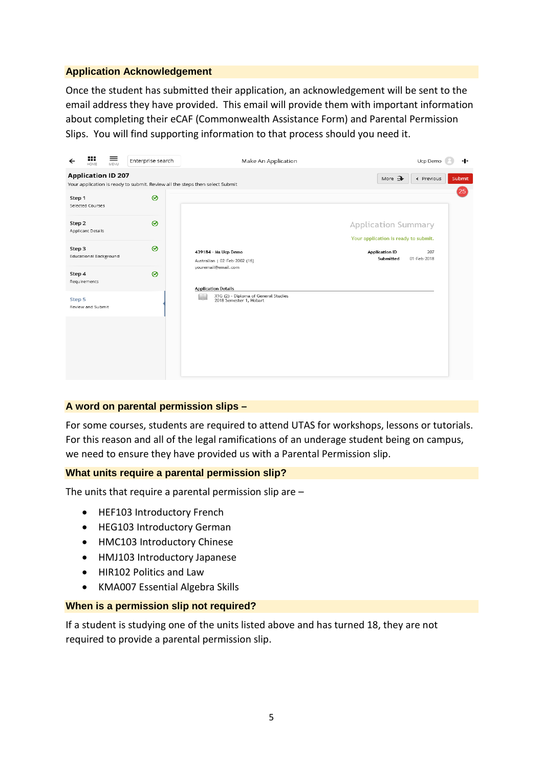# **Application Acknowledgement**

Once the student has submitted their application, an acknowledgement will be sent to the email address they have provided. This email will provide them with important information about completing their eCAF (Commonwealth Assistance Form) and Parental Permission Slips. You will find supporting information to that process should you need it.



## **A word on parental permission slips –**

For some courses, students are required to attend UTAS for workshops, lessons or tutorials. For this reason and all of the legal ramifications of an underage student being on campus, we need to ensure they have provided us with a Parental Permission slip.

## **What units require a parental permission slip?**

The units that require a parental permission slip are –

- HEF103 Introductory French
- HEG103 Introductory German
- HMC103 Introductory Chinese
- HMJ103 Introductory Japanese
- HIR102 Politics and Law
- KMA007 Essential Algebra Skills

#### **When is a permission slip not required?**

If a student is studying one of the units listed above and has turned 18, they are not required to provide a parental permission slip.